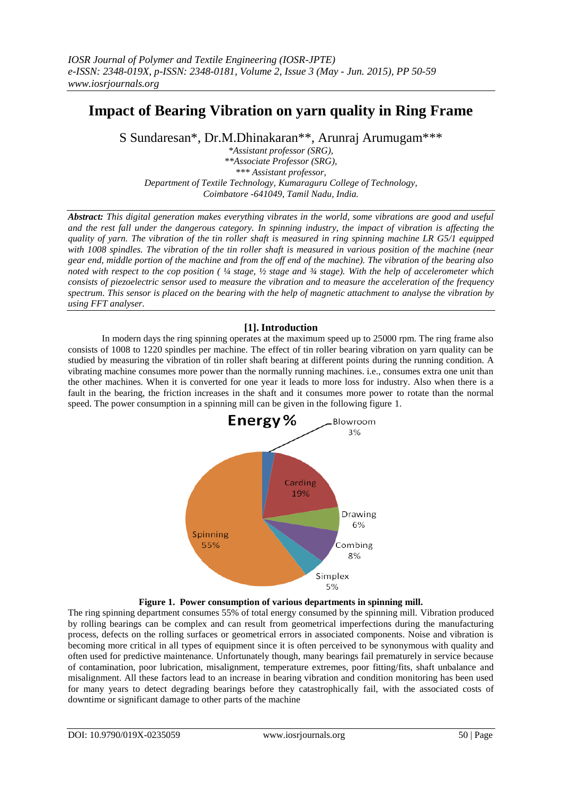# **Impact of Bearing Vibration on yarn quality in Ring Frame**

S Sundaresan\*, Dr.M.Dhinakaran\*\*, Arunraj Arumugam\*\*\*

*\*Assistant professor (SRG), \*\*Associate Professor (SRG), \*\*\* Assistant professor, Department of Textile Technology, Kumaraguru College of Technology, Coimbatore -641049, Tamil Nadu, India.*

*Abstract: This digital generation makes everything vibrates in the world, some vibrations are good and useful and the rest fall under the dangerous category. In spinning industry, the impact of vibration is affecting the quality of yarn. The vibration of the tin roller shaft is measured in ring spinning machine LR G5/1 equipped with 1008 spindles. The vibration of the tin roller shaft is measured in various position of the machine (near gear end, middle portion of the machine and from the off end of the machine). The vibration of the bearing also noted with respect to the cop position ( ¼ stage, ½ stage and ¾ stage). With the help of accelerometer which consists of piezoelectric sensor used to measure the vibration and to measure the acceleration of the frequency spectrum. This sensor is placed on the bearing with the help of magnetic attachment to analyse the vibration by using FFT analyser.* 

## **[1]. Introduction**

In modern days the ring spinning operates at the maximum speed up to 25000 rpm. The ring frame also consists of 1008 to 1220 spindles per machine. The effect of tin roller bearing vibration on yarn quality can be studied by measuring the vibration of tin roller shaft bearing at different points during the running condition. A vibrating machine consumes more power than the normally running machines. i.e., consumes extra one unit than the other machines. When it is converted for one year it leads to more loss for industry. Also when there is a fault in the bearing, the friction increases in the shaft and it consumes more power to rotate than the normal speed. The power consumption in a spinning mill can be given in the following figure 1.





The ring spinning department consumes 55% of total energy consumed by the spinning mill. Vibration produced by rolling bearings can be complex and can result from geometrical imperfections during the manufacturing process, defects on the rolling surfaces or geometrical errors in associated components. Noise and vibration is becoming more critical in all types of equipment since it is often perceived to be synonymous with quality and often used for predictive maintenance. Unfortunately though, many bearings fail prematurely in service because of contamination, poor lubrication, misalignment, temperature extremes, poor fitting/fits, shaft unbalance and misalignment. All these factors lead to an increase in bearing vibration and condition monitoring has been used for many years to detect degrading bearings before they catastrophically fail, with the associated costs of downtime or significant damage to other parts of the machine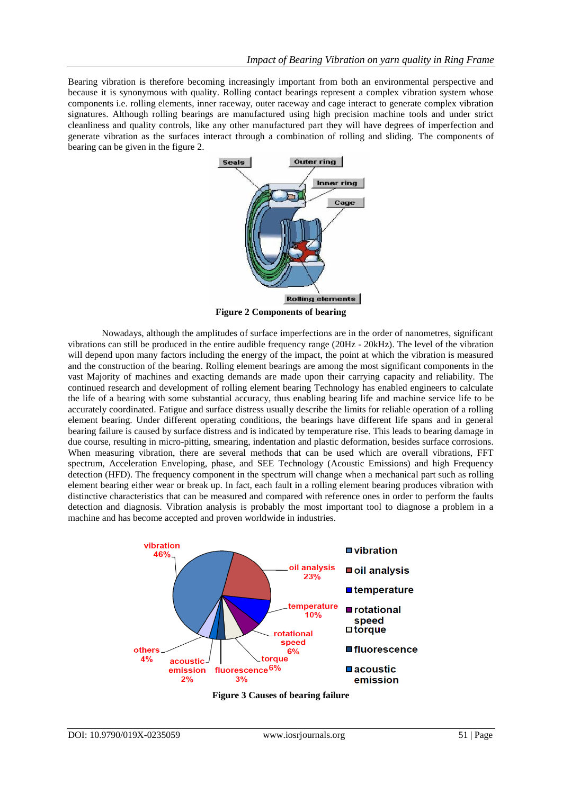Bearing vibration is therefore becoming increasingly important from both an environmental perspective and because it is synonymous with quality. Rolling contact bearings represent a complex vibration system whose components i.e. rolling elements, inner raceway, outer raceway and cage interact to generate complex vibration signatures. Although rolling bearings are manufactured using high precision machine tools and under strict cleanliness and quality controls, like any other manufactured part they will have degrees of imperfection and generate vibration as the surfaces interact through a combination of rolling and sliding. The components of bearing can be given in the figure 2.



**Figure 2 Components of bearing**

Nowadays, although the amplitudes of surface imperfections are in the order of nanometres, significant vibrations can still be produced in the entire audible frequency range (20Hz - 20kHz). The level of the vibration will depend upon many factors including the energy of the impact, the point at which the vibration is measured and the construction of the bearing. Rolling element bearings are among the most significant components in the vast Majority of machines and exacting demands are made upon their carrying capacity and reliability. The continued research and development of rolling element bearing Technology has enabled engineers to calculate the life of a bearing with some substantial accuracy, thus enabling bearing life and machine service life to be accurately coordinated. Fatigue and surface distress usually describe the limits for reliable operation of a rolling element bearing. Under different operating conditions, the bearings have different life spans and in general bearing failure is caused by surface distress and is indicated by temperature rise. This leads to bearing damage in due course, resulting in micro-pitting, smearing, indentation and plastic deformation, besides surface corrosions. When measuring vibration, there are several methods that can be used which are overall vibrations, FFT spectrum, Acceleration Enveloping, phase, and SEE Technology (Acoustic Emissions) and high Frequency detection (HFD). The frequency component in the spectrum will change when a mechanical part such as rolling element bearing either wear or break up. In fact, each fault in a rolling element bearing produces vibration with distinctive characteristics that can be measured and compared with reference ones in order to perform the faults detection and diagnosis. Vibration analysis is probably the most important tool to diagnose a problem in a machine and has become accepted and proven worldwide in industries.



**Figure 3 Causes of bearing failure**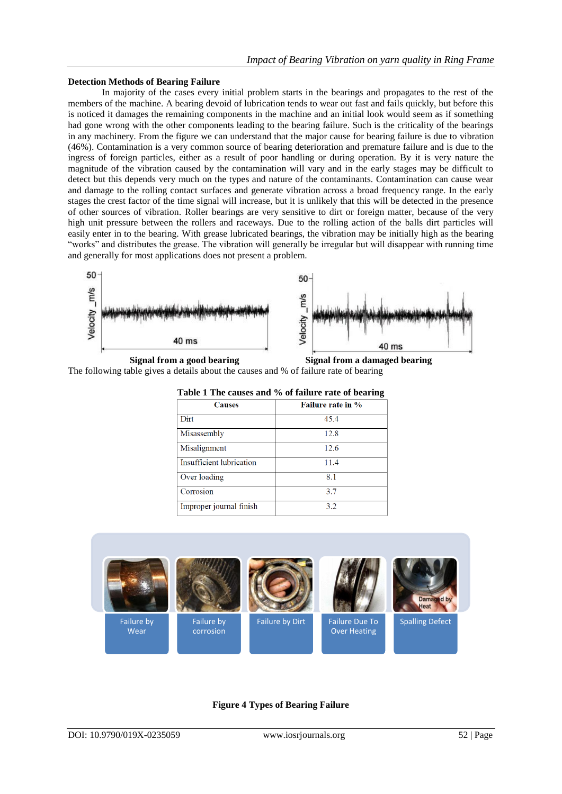#### **Detection Methods of Bearing Failure**

In majority of the cases every initial problem starts in the bearings and propagates to the rest of the members of the machine. A bearing devoid of lubrication tends to wear out fast and fails quickly, but before this is noticed it damages the remaining components in the machine and an initial look would seem as if something had gone wrong with the other components leading to the bearing failure. Such is the criticality of the bearings in any machinery. From the figure we can understand that the major cause for bearing failure is due to vibration (46%). Contamination is a very common source of bearing deterioration and premature failure and is due to the ingress of foreign particles, either as a result of poor handling or during operation. By it is very nature the magnitude of the vibration caused by the contamination will vary and in the early stages may be difficult to detect but this depends very much on the types and nature of the contaminants. Contamination can cause wear and damage to the rolling contact surfaces and generate vibration across a broad frequency range. In the early stages the crest factor of the time signal will increase, but it is unlikely that this will be detected in the presence of other sources of vibration. Roller bearings are very sensitive to dirt or foreign matter, because of the very high unit pressure between the rollers and raceways. Due to the rolling action of the balls dirt particles will easily enter in to the bearing. With grease lubricated bearings, the vibration may be initially high as the bearing ―works‖ and distributes the grease. The vibration will generally be irregular but will disappear with running time and generally for most applications does not present a problem.



**Signal from a good bearing Signal from a damaged bearing**

The following table gives a details about the causes and % of failure rate of bearing

| Table 1 The causes and 70 of family rate of bearing |                          |  |  |  |  |
|-----------------------------------------------------|--------------------------|--|--|--|--|
| <b>Causes</b>                                       | <b>Failure rate in %</b> |  |  |  |  |
| Dirt                                                | 45.4                     |  |  |  |  |
| Misassembly                                         | 12.8                     |  |  |  |  |
| Misalignment                                        | 12.6                     |  |  |  |  |
| Insufficient lubrication                            | 11.4                     |  |  |  |  |
| Over loading                                        | 81                       |  |  |  |  |
| Corrosion                                           | 3.7                      |  |  |  |  |
| Improper journal finish                             | 3.2                      |  |  |  |  |

**Table 1 The causes and % of failure rate of bearing**



### **Figure 4 Types of Bearing Failure**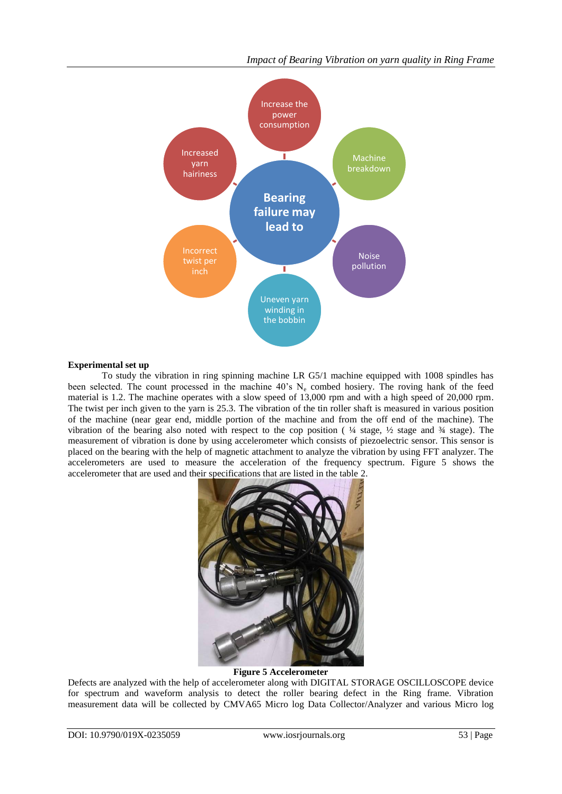

## **Experimental set up**

To study the vibration in ring spinning machine LR G5/1 machine equipped with 1008 spindles has been selected. The count processed in the machine 40's N<sub>e</sub> combed hosiery. The roving hank of the feed material is 1.2. The machine operates with a slow speed of 13,000 rpm and with a high speed of 20,000 rpm. The twist per inch given to the yarn is 25.3. The vibration of the tin roller shaft is measured in various position of the machine (near gear end, middle portion of the machine and from the off end of the machine). The vibration of the bearing also noted with respect to the cop position ( ¼ stage, ½ stage and ¾ stage). The measurement of vibration is done by using accelerometer which consists of piezoelectric sensor. This sensor is placed on the bearing with the help of magnetic attachment to analyze the vibration by using FFT analyzer. The accelerometers are used to measure the acceleration of the frequency spectrum. Figure 5 shows the accelerometer that are used and their specifications that are listed in the table 2.



#### **Figure 5 Accelerometer**

Defects are analyzed with the help of accelerometer along with DIGITAL STORAGE OSCILLOSCOPE device for spectrum and waveform analysis to detect the roller bearing defect in the Ring frame. Vibration measurement data will be collected by CMVA65 Micro log Data Collector/Analyzer and various Micro log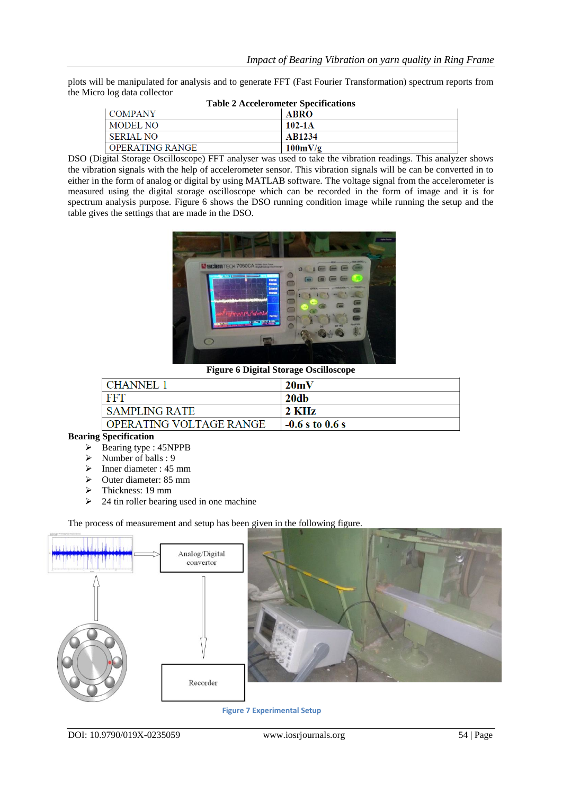plots will be manipulated for analysis and to generate FFT (Fast Fourier Transformation) spectrum reports from the Micro log data collector

| <b>Table 2 Accelerometer Specifications</b> |                   |  |  |  |  |
|---------------------------------------------|-------------------|--|--|--|--|
| <b>COMPANY</b>                              | ABRO              |  |  |  |  |
| MODEL NO                                    | $102 - 1A$        |  |  |  |  |
| SERIAL NO                                   | AB1234            |  |  |  |  |
| OPERATING RANGE                             | $100 \text{mV/g}$ |  |  |  |  |

DSO (Digital Storage Oscilloscope) FFT analyser was used to take the vibration readings. This analyzer shows the vibration signals with the help of accelerometer sensor. This vibration signals will be can be converted in to either in the form of analog or digital by using MATLAB software. The voltage signal from the accelerometer is measured using the digital storage oscilloscope which can be recorded in the form of image and it is for spectrum analysis purpose. Figure 6 shows the DSO running condition image while running the setup and the table gives the settings that are made in the DSO.



**Figure 6 Digital Storage Oscilloscope**

| CHANNEL 1               | 20mV              |
|-------------------------|-------------------|
| <b>FFT</b>              | -20db             |
| I SAMPLING RATE         | 2 KHz             |
| OPERATING VOLTAGE RANGE | $-0.6$ s to 0.6 s |

## **Bearing Specification**

- $\triangleright$  Bearing type : 45NPPB
- $\triangleright$  Number of balls : 9
- $\triangleright$  Inner diameter : 45 mm
- $\geq$  Outer diameter: 85 mm
- $\geq$  Thickness: 19 mm<br> $\geq$  24 tin roller bearing
- 24 tin roller bearing used in one machine

The process of measurement and setup has been given in the following figure.



DOI: 10.9790/019X-0235059 www.iosrjournals.org 54 | Page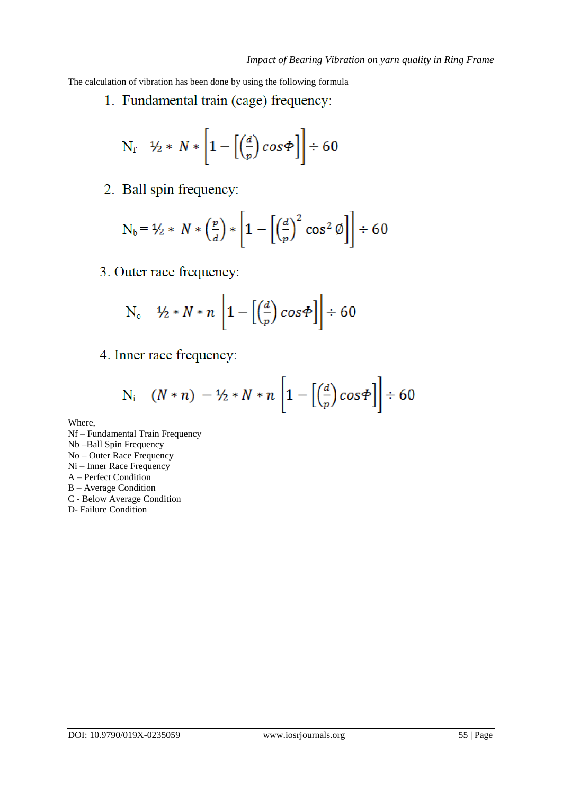The calculation of vibration has been done by using the following formula

1. Fundamental train (cage) frequency:

$$
N_f = \frac{1}{2} * N * \left[1 - \left[\left(\frac{d}{p}\right)\cos\Phi\right]\right] \div 60
$$

2. Ball spin frequency:

$$
N_b = \frac{1}{2} * N * \left(\frac{p}{d}\right) * \left[1 - \left[\left(\frac{d}{p}\right)^2 \cos^2 \phi\right]\right] \div 60
$$

3. Outer race frequency:

$$
N_o = \frac{1}{2} * N * n \left[ 1 - \left[ \left( \frac{d}{p} \right) cos \Phi \right] \right] \div 60
$$

4. Inner race frequency:

$$
N_i = (N*n) - \frac{1}{2} * N*n \left[ 1 - \left[ \left( \frac{d}{p} \right) cos \Phi \right] \right] \div 60
$$

Where,

Nf – Fundamental Train Frequency Nb –Ball Spin Frequency No – Outer Race Frequency Ni – Inner Race Frequency A – Perfect Condition B – Average Condition C - Below Average Condition D- Failure Condition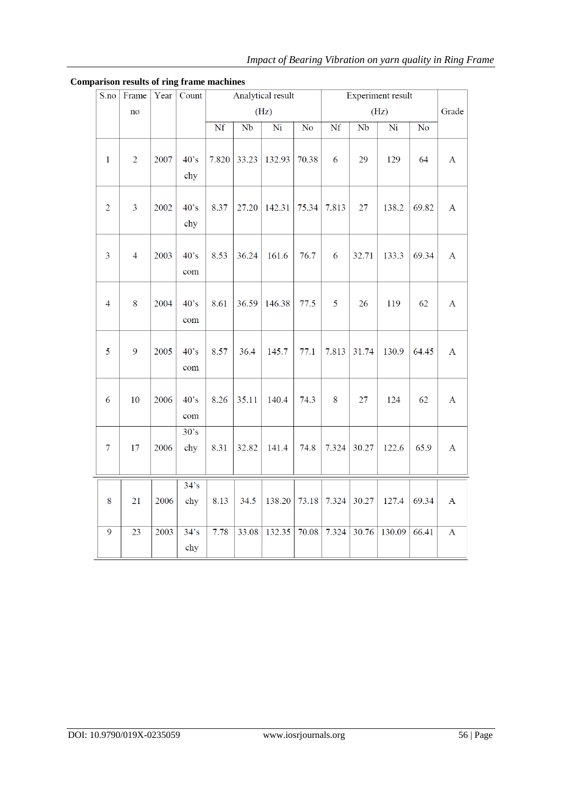| S.no           | Frame                  | Year | Count               | Analytical result |       |                        | <b>Experiment result</b> |       |                   |                        |                        |              |
|----------------|------------------------|------|---------------------|-------------------|-------|------------------------|--------------------------|-------|-------------------|------------------------|------------------------|--------------|
|                | $\mathbf{n}\mathbf{o}$ |      |                     | (Hz)              |       |                        | (Hz)                     |       |                   | Grade                  |                        |              |
|                |                        |      |                     | Nf                | Nb    | $\overline{\text{Ni}}$ | $\overline{No}$          | Nf    | Nb                | $\overline{\text{Ni}}$ | $\overline{\text{No}}$ |              |
| $\mathbf{1}$   | $\overline{2}$         | 2007 | 40's<br>chy         | 7.820             | 33.23 | 132.93                 | 70.38                    | 6     | 29                | 129                    | 64                     | $\bf{A}$     |
| $\overline{2}$ | 3                      | 2002 | 40's<br>chy         | 8.37              | 27.20 | 142.31                 | 75.34                    | 7.813 | 27                | 138.2                  | 69.82                  | $\mathbf{A}$ |
| 3              | $\overline{4}$         | 2003 | 40's<br>com         | 8.53              | 36.24 | 161.6                  | 76.7                     | 6     | 32.71             | 133.3                  | 69.34                  | $\mathbf{A}$ |
| $\overline{4}$ | 8                      | 2004 | 40's<br>com         | 8.61              | 36.59 | 146.38                 | 77.5                     | 5     | 26                | 119                    | 62                     | $\mathbf{A}$ |
| 5              | 9                      | 2005 | 40's<br>com         | 8.57              | 36.4  | 145.7                  | 77.1                     | 7.813 | 31.74             | 130.9                  | 64.45                  | $\mathbf{A}$ |
| 6              | 10                     | 2006 | 40's<br>com         | 8.26              | 35.11 | 140.4                  | 74.3                     | 8     | 27                | 124                    | 62                     | $\mathbf{A}$ |
| $\overline{7}$ | 17                     | 2006 | 30's<br>chy         | 8.31              | 32.82 | 141.4                  | 74.8                     | 7.324 | 30.27             | 122.6                  | 65.9                   | $\mathbf A$  |
|                |                        |      | $34$ 's             |                   |       |                        |                          |       |                   |                        |                        |              |
| 8              | 21                     | 2006 | chy                 | 8.13              | 34.5  | 138.20                 | 73.18                    | 7.324 | 30.27             | 127.4                  | 69.34                  | $\mathbf A$  |
| $\overline{9}$ | 23                     | 2003 | $34^\circ s$<br>chy | 7.78              | 33.08 | 132.35                 | 70.08                    | 7.324 | $\frac{1}{30.76}$ | 130.09                 | 66.41                  | $\mathbf{A}$ |

# **Comparison results of ring frame machines**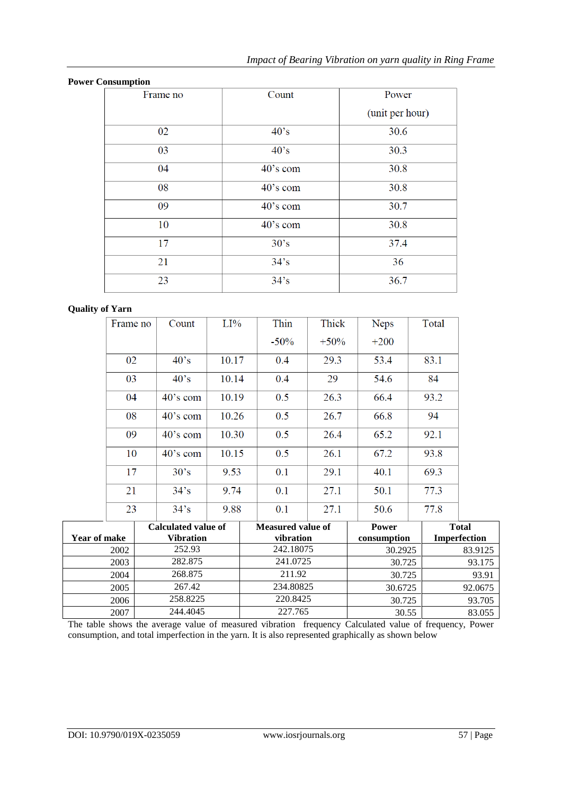| <b>Power Consumption</b> |                |                 |  |  |
|--------------------------|----------------|-----------------|--|--|
| Frame no                 | Count          | Power           |  |  |
|                          |                | (unit per hour) |  |  |
| 02                       | $40^{\circ}$ s | 30.6            |  |  |
| 03                       | $40^{\circ}$ s | 30.3            |  |  |
| 04                       | $40$ 's com    | 30.8            |  |  |
| 08                       | $40$ 's com    | 30.8            |  |  |
| 09                       | $40$ 's com    | 30.7            |  |  |
| 10                       | 40's com       | 30.8            |  |  |
| 17                       | 30's           | 37.4            |  |  |
| 21                       | $34$ 's        | 36              |  |  |
| 23                       | $34$ 's        | 36.7            |  |  |

# **Quality of Yarn**

| Frame no | Count              | LI%   | Thin    | Thick   | Neps   | Total |
|----------|--------------------|-------|---------|---------|--------|-------|
|          |                    |       | $-50\%$ | $+50\%$ | $+200$ |       |
| 02       | $40^\circ s$       | 10.17 | 0.4     | 29.3    | 53.4   | 83.1  |
| 03       | $40^\circ s$       | 10.14 | 0.4     | 29      | 54.6   | 84    |
| 04       | $40^{\circ}$ s com | 10.19 | 0.5     | 26.3    | 66.4   | 93.2  |
| 08       | $40$ 's com        | 10.26 | 0.5     | 26.7    | 66.8   | 94    |
| 09       | $40^{\circ}$ s com | 10.30 | 0.5     | 26.4    | 65.2   | 92.1  |
| 10       | $40$ 's com        | 10.15 | 0.5     | 26.1    | 67.2   | 93.8  |
| 17       | 30's               | 9.53  | 0.1     | 29.1    | 40.1   | 69.3  |
| 21       | $34^\circ s$       | 9.74  | 0.1     | 27.1    | 50.1   | 77.3  |
| 23       | $34$ 's            | 9.88  | 0.1     | 27.1    | 50.6   | 77.8  |

|              | Calculated value of | <b>Measured value of</b> | <b>Power</b> | <b>Total</b>        |
|--------------|---------------------|--------------------------|--------------|---------------------|
| Year of make | <b>Vibration</b>    | vibration                | consumption  | <b>Imperfection</b> |
| 2002         | 252.93              | 242.18075                | 30.2925      | 83.9125             |
| 2003         | 282.875             | 241.0725                 | 30.725       | 93.175              |
| 2004         | 268.875             | 211.92                   | 30.725       | 93.91               |
| 2005         | 267.42              | 234.80825                | 30.6725      | 92.0675             |
| 2006         | 258.8225            | 220.8425                 | 30.725       | 93.705              |
| 2007         | 244.4045            | 227.765                  | 30.55        | 83.055              |

The table shows the average value of measured vibration frequency Calculated value of frequency, Power consumption, and total imperfection in the yarn. It is also represented graphically as shown below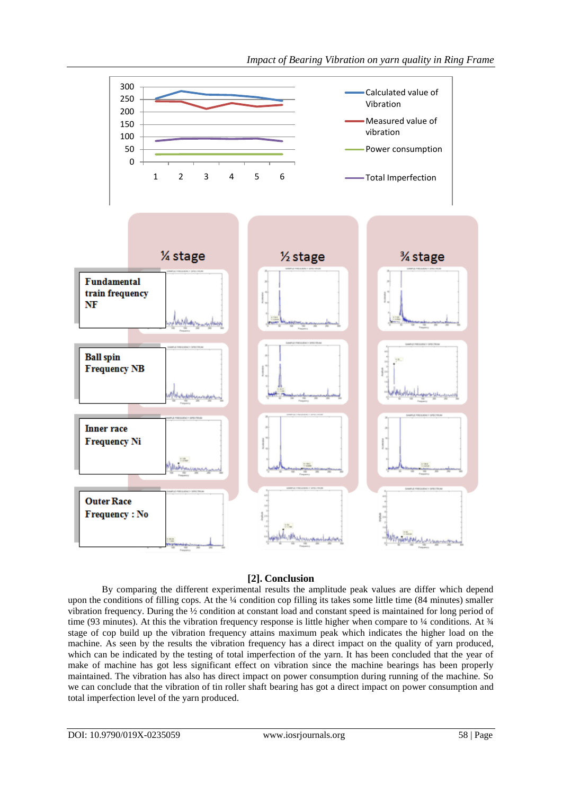

# **[2]. Conclusion**

By comparing the different experimental results the amplitude peak values are differ which depend upon the conditions of filling cops. At the ¼ condition cop filling its takes some little time (84 minutes) smaller vibration frequency. During the ½ condition at constant load and constant speed is maintained for long period of time (93 minutes). At this the vibration frequency response is little higher when compare to  $\frac{1}{4}$  conditions. At  $\frac{3}{4}$ stage of cop build up the vibration frequency attains maximum peak which indicates the higher load on the machine. As seen by the results the vibration frequency has a direct impact on the quality of yarn produced, which can be indicated by the testing of total imperfection of the yarn. It has been concluded that the year of make of machine has got less significant effect on vibration since the machine bearings has been properly maintained. The vibration has also has direct impact on power consumption during running of the machine. So we can conclude that the vibration of tin roller shaft bearing has got a direct impact on power consumption and total imperfection level of the yarn produced.